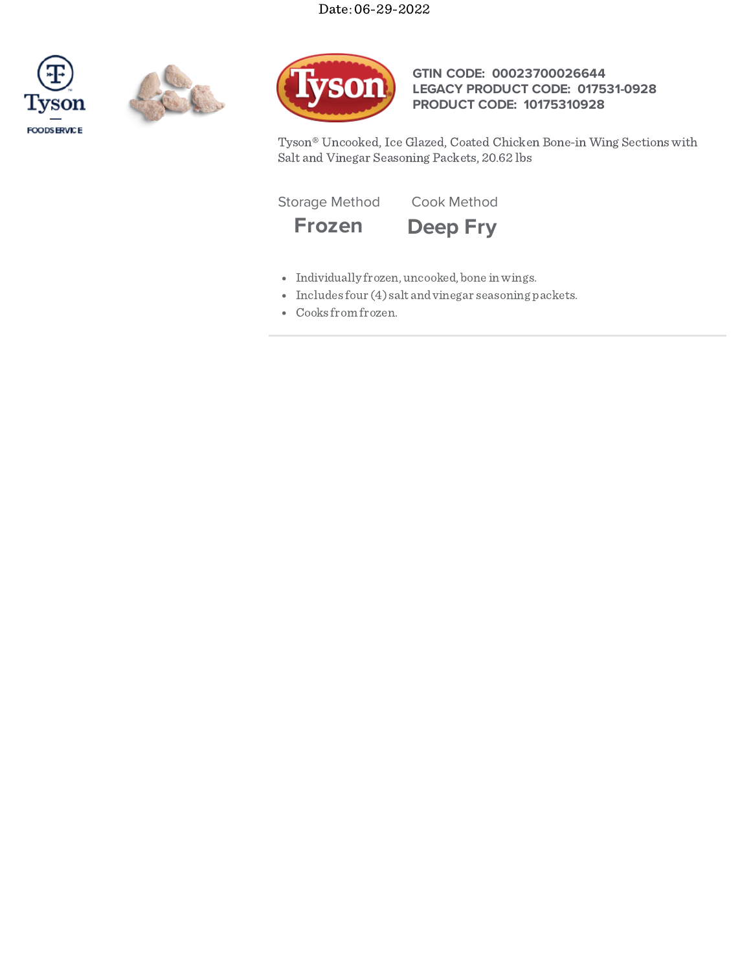# Date: 06-29-2022







## **GTIN CODE: 00023700026644 LEGACY PRODUCT CODE: 017531-0928 PRODUCT CODE: 10175310928**

Tyson® Uncooked, Ice Glazed, Coated Chicken Bone-in Wing Sections with Salt and Vinegar Seasoning Packets, 20.62 lbs

Storage Method Cook Method





- Individually frozen, uncooked, bone inwings.
- Includes four (4) salt and vinegar seasoning packets.
- Cooks from frozen.